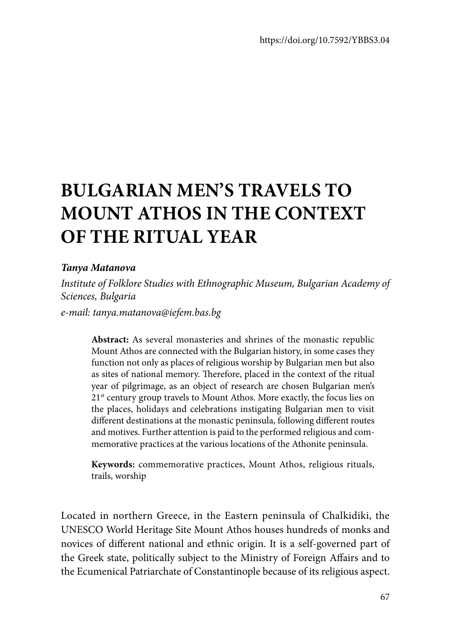# **BULGARIAN MEN'S TRAVELS TO MOUNT ATHOS IN THE CONTEXT OF THE RITUAL YEAR**

#### *Tanya Matanova*

*Institute of Folklore Studies with Ethnographic Museum, Bulgarian Academy of Sciences, Bulgaria e-mail: tanya.matanova@iefem.bas.bg*

**Abstract:** As several monasteries and shrines of the monastic republic Mount Athos are connected with the Bulgarian history, in some cases they function not only as places of religious worship by Bulgarian men but also as sites of national memory. Therefore, placed in the context of the ritual year of pilgrimage, as an object of research are chosen Bulgarian men's 21<sup>st</sup> century group travels to Mount Athos. More exactly, the focus lies on the places, holidays and celebrations instigating Bulgarian men to visit different destinations at the monastic peninsula, following different routes and motives. Further attention is paid to the performed religious and commemorative practices at the various locations of the Athonite peninsula.

**Keywords:** commemorative practices, Mount Athos, religious rituals, trails, worship

Located in northern Greece, in the Eastern peninsula of Chalkidiki, the UNESCO World Heritage Site Mount Athos houses hundreds of monks and novices of different national and ethnic origin. It is a self-governed part of the Greek state, politically subject to the Ministry of Foreign Affairs and to the Ecumenical Patriarchate of Constantinople because of its religious aspect.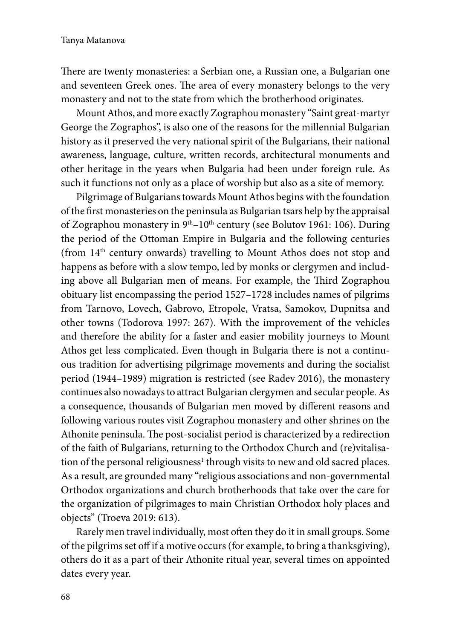There are twenty monasteries: a Serbian one, a Russian one, a Bulgarian one and seventeen Greek ones. The area of every monastery belongs to the very monastery and not to the state from which the brotherhood originates.

Mount Athos, and more exactly Zographou monastery "Saint great-martyr George the Zographos", is also one of the reasons for the millennial Bulgarian history as it preserved the very national spirit of the Bulgarians, their national awareness, language, culture, written records, architectural monuments and other heritage in the years when Bulgaria had been under foreign rule. As such it functions not only as a place of worship but also as a site of memory.

Pilgrimage of Bulgarians towards Mount Athos begins with the foundation of the first monasteries on the peninsula as Bulgarian tsars help by the appraisal of Zographou monastery in  $9<sup>th</sup> - 10<sup>th</sup>$  century (see Bolutov 1961: 106). During the period of the Ottoman Empire in Bulgaria and the following centuries (from 14th century onwards) travelling to Mount Athos does not stop and happens as before with a slow tempo, led by monks or clergymen and including above all Bulgarian men of means. For example, the Third Zographou obituary list encompassing the period 1527–1728 includes names of pilgrims from Tarnovo, Lovech, Gabrovo, Etropole, Vratsa, Samokov, Dupnitsa and other towns (Todorova 1997: 267). With the improvement of the vehicles and therefore the ability for a faster and easier mobility journeys to Mount Athos get less complicated. Even though in Bulgaria there is not a continuous tradition for advertising pilgrimage movements and during the socialist period (1944–1989) migration is restricted (see Radev 2016), the monastery continues also nowadays to attract Bulgarian clergymen and secular people. As a consequence, thousands of Bulgarian men moved by different reasons and following various routes visit Zographou monastery and other shrines on the Athonite peninsula. The post-socialist period is characterized by a redirection of the faith of Bulgarians, returning to the Orthodox Church and (re)vitalisation of the personal religiousness<sup>1</sup> through visits to new and old sacred places. As a result, are grounded many "religious associations and non-governmental Orthodox organizations and church brotherhoods that take over the care for the organization of pilgrimages to main Christian Orthodox holy places and objects" (Troeva 2019: 613).

Rarely men travel individually, most often they do it in small groups. Some of the pilgrims set off if a motive occurs (for example, to bring a thanksgiving), others do it as a part of their Athonite ritual year, several times on appointed dates every year.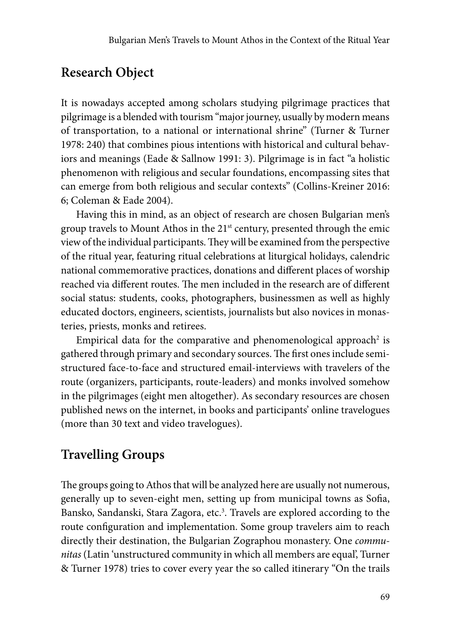#### **Research Object**

It is nowadays accepted among scholars studying pilgrimage practices that pilgrimage is a blended with tourism "major journey, usually by modern means of transportation, to a national or international shrine" (Turner & Turner 1978: 240) that combines pious intentions with historical and cultural behaviors and meanings (Eade & Sallnow 1991: 3). Pilgrimage is in fact "a holistic phenomenon with religious and secular foundations, encompassing sites that can emerge from both religious and secular contexts" (Collins-Kreiner 2016: 6; Coleman & Eade 2004).

Having this in mind, as an object of research are chosen Bulgarian men's group travels to Mount Athos in the  $21<sup>st</sup>$  century, presented through the emic view of the individual participants. They will be examined from the perspective of the ritual year, featuring ritual celebrations at liturgical holidays, calendric national commemorative practices, donations and different places of worship reached via different routes. The men included in the research are of different social status: students, cooks, photographers, businessmen as well as highly educated doctors, engineers, scientists, journalists but also novices in monasteries, priests, monks and retirees.

Empirical data for the comparative and phenomenological approach<sup>2</sup> is gathered through primary and secondary sources. The first ones include semistructured face-to-face and structured email-interviews with travelers of the route (organizers, participants, route-leaders) and monks involved somehow in the pilgrimages (eight men altogether). As secondary resources are chosen published news on the internet, in books and participants' online travelogues (more than 30 text and video travelogues).

### **Travelling Groups**

The groups going to Athos that will be analyzed here are usually not numerous, generally up to seven-eight men, setting up from municipal towns as Sofia, Bansko, Sandanski, Stara Zagora, etc.<sup>3</sup>. Travels are explored according to the route configuration and implementation. Some group travelers aim to reach directly their destination, the Bulgarian Zographou monastery. One *communitas* (Latin 'unstructured community in which all members are equal', Turner & Turner 1978) tries to cover every year the so called itinerary "On the trails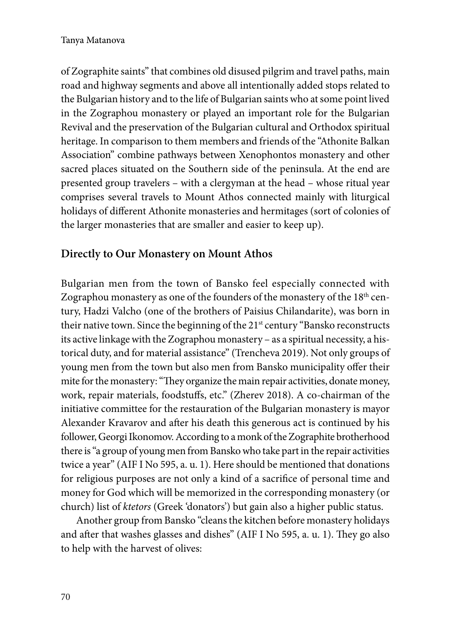of Zographite saints" that combines old disused pilgrim and travel paths, main road and highway segments and above all intentionally added stops related to the Bulgarian history and to the life of Bulgarian saints who at some point lived in the Zographou monastery or played an important role for the Bulgarian Revival and the preservation of the Bulgarian cultural and Orthodox spiritual heritage. In comparison to them members and friends of the "Athonite Balkan Association" combine pathways between Xenophontos monastery and other sacred places situated on the Southern side of the peninsula. At the end are presented group travelers – with a clergyman at the head – whose ritual year comprises several travels to Mount Athos connected mainly with liturgical holidays of different Athonite monasteries and hermitages (sort of colonies of the larger monasteries that are smaller and easier to keep up).

#### **Directly to Our Monastery on Mount Athos**

Bulgarian men from the town of Bansko feel especially connected with Zographou monastery as one of the founders of the monastery of the 18<sup>th</sup> century, Hadzi Valcho (one of the brothers of Paisius Chilandarite), was born in their native town. Since the beginning of the 21<sup>st</sup> century "Bansko reconstructs its active linkage with the Zographou monastery – as a spiritual necessity, a historical duty, and for material assistance" (Trencheva 2019). Not only groups of young men from the town but also men from Bansko municipality offer their mite for the monastery: "They organize the main repair activities, donate money, work, repair materials, foodstuffs, etc." (Zherev 2018). A co-chairman of the initiative committee for the restauration of the Bulgarian monastery is mayor Alexander Kravarov and after his death this generous act is continued by his follower, Georgi Ikonomov. According to a monk of the Zographite brotherhood there is "a group of young men from Bansko who take part in the repair activities twice a year" (AIF I No 595, a. u. 1). Here should be mentioned that donations for religious purposes are not only a kind of a sacrifice of personal time and money for God which will be memorized in the corresponding monastery (or church) list of *ktetors* (Greek 'donators') but gain also a higher public status.

Another group from Bansko "cleans the kitchen before monastery holidays and after that washes glasses and dishes" (AIF I No 595, a. u. 1). They go also to help with the harvest of olives: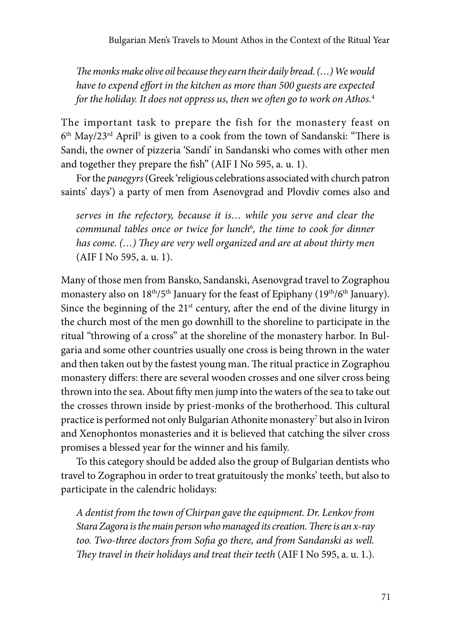*The monks make olive oil because they earn their daily bread. (…) We would have to expend effort in the kitchen as more than 500 guests are expected for the holiday. It does not oppress us, then we often go to work on Athos.*<sup>4</sup>

The important task to prepare the fish for the monastery feast on  $6^{\text{th}}$  May/23 $^{\text{rd}}$  April $^5$  is given to a cook from the town of Sandanski: "There is Sandi, the owner of pizzeria 'Sandi' in Sandanski who comes with other men and together they prepare the fish" (AIF I No 595, a. u. 1).

For the *panegyrs* (Greek 'religious celebrations associated with church patron saints' days') a party of men from Asenovgrad and Plovdiv comes also and

*serves in the refectory, because it is… while you serve and clear the communal tables once or twice for lunch*<sup>6</sup> *, the time to cook for dinner has come. (…) They are very well organized and are at about thirty men*  (AIF I No 595, a. u. 1).

Many of those men from Bansko, Sandanski, Asenovgrad travel to Zographou monastery also on 18<sup>th</sup>/5<sup>th</sup> January for the feast of Epiphany (19<sup>th</sup>/6<sup>th</sup> January). Since the beginning of the  $21<sup>st</sup>$  century, after the end of the divine liturgy in the church most of the men go downhill to the shoreline to participate in the ritual "throwing of a cross" at the shoreline of the monastery harbor. In Bulgaria and some other countries usually one cross is being thrown in the water and then taken out by the fastest young man. The ritual practice in Zographou monastery differs: there are several wooden crosses and one silver cross being thrown into the sea. About fifty men jump into the waters of the sea to take out the crosses thrown inside by priest-monks of the brotherhood. This cultural practice is performed not only Bulgarian Athonite monastery<sup>7</sup> but also in Iviron and Xenophontos monasteries and it is believed that catching the silver cross promises a blessed year for the winner and his family.

To this category should be added also the group of Bulgarian dentists who travel to Zographou in order to treat gratuitously the monks' teeth, but also to participate in the calendric holidays:

*A dentist from the town of Chirpan gave the equipment. Dr. Lenkov from Stara Zagora is the main person who managed its creation. There is an x-ray too. Two-three doctors from Sofia go there, and from Sandanski as well. They travel in their holidays and treat their teeth* (AIF I No 595, a. u. 1.).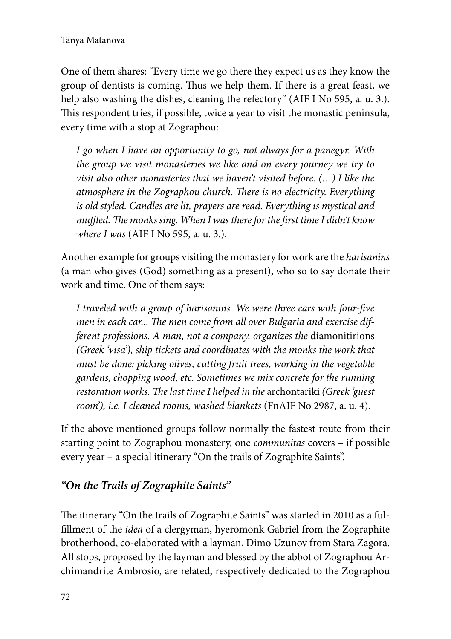One of them shares: "Every time we go there they expect us as they know the group of dentists is coming. Thus we help them. If there is a great feast, we help also washing the dishes, cleaning the refectory" (AIF I No 595, a. u. 3.). This respondent tries, if possible, twice a year to visit the monastic peninsula, every time with a stop at Zographou:

*I go when I have an opportunity to go, not always for a panegyr. With the group we visit monasteries we like and on every journey we try to visit also other monasteries that we haven't visited before. (…) I like the atmosphere in the Zographou church. There is no electricity. Everything is old styled. Candles are lit, prayers are read. Everything is mystical and muffled. The monks sing. When I was there for the first time I didn't know where I was* (AIF I No 595, a. u. 3.).

Another example for groups visiting the monastery for work are the *harisanins*  (a man who gives (God) something as a present), who so to say donate their work and time. One of them says:

*I traveled with a group of harisanins. We were three cars with four-five men in each car... The men come from all over Bulgaria and exercise different professions. A man, not a company, organizes the* diamonitirions *(Greek 'visa'), ship tickets and coordinates with the monks the work that must be done: picking olives, cutting fruit trees, working in the vegetable gardens, chopping wood, etc. Sometimes we mix concrete for the running restoration works. The last time I helped in the* archontariki *(Greek 'guest room'), i.e. I cleaned rooms, washed blankets* (FnAIF No 2987, a. u. 4).

If the above mentioned groups follow normally the fastest route from their starting point to Zographou monastery, one *communitas* covers – if possible every year – a special itinerary "On the trails of Zographite Saints".

### *"On the Trails of Zographite Saints"*

The itinerary "On the trails of Zographite Saints" was started in 2010 as a fulfillment of the *idea* of a clergyman, hyeromonk Gabriel from the Zographite brotherhood, co-elaborated with a layman, Dimo Uzunov from Stara Zagora. All stops, proposed by the layman and blessed by the abbot of Zographou Archimandrite Ambrosio, are related, respectively dedicated to the Zographou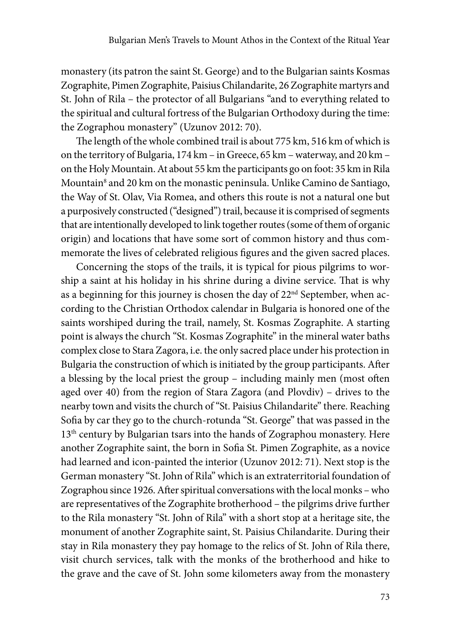monastery (its patron the saint St. George) and to the Bulgarian saints Kosmas Zographite, Pimen Zographite, Paisius Chilandarite, 26 Zographite martyrs and St. John of Rila – the protector of all Bulgarians "and to everything related to the spiritual and cultural fortress of the Bulgarian Orthodoxy during the time: the Zographou monastery" (Uzunov 2012: 70).

The length of the whole combined trail is about 775 km, 516 km of which is on the territory of Bulgaria, 174 km – in Greece, 65 km – waterway, and 20 km – on the Holy Mountain. At about 55 km the participants go on foot: 35 km in Rila Mountain<sup>8</sup> and 20 km on the monastic peninsula. Unlike Camino de Santiago, the Way of St. Olav, Via Romea, and others this route is not a natural one but a purposively constructed ("designed") trail, because it is comprised of segments that are intentionally developed to link together routes (some of them of organic origin) and locations that have some sort of common history and thus commemorate the lives of celebrated religious figures and the given sacred places.

Concerning the stops of the trails, it is typical for pious pilgrims to worship a saint at his holiday in his shrine during a divine service. That is why as a beginning for this journey is chosen the day of 22<sup>nd</sup> September, when according to the Christian Orthodox calendar in Bulgaria is honored one of the saints worshiped during the trail, namely, St. Kosmas Zographite. A starting point is always the church "St. Kosmas Zographite" in the mineral water baths complex close to Stara Zagora, i.e. the only sacred place under his protection in Bulgaria the construction of which is initiated by the group participants. After a blessing by the local priest the group – including mainly men (most often aged over 40) from the region of Stara Zagora (and Plovdiv) – drives to the nearby town and visits the church of "St. Paisius Chilandarite" there. Reaching Sofia by car they go to the church-rotunda "St. George" that was passed in the 13<sup>th</sup> century by Bulgarian tsars into the hands of Zographou monastery. Here another Zographite saint, the born in Sofia St. Pimen Zographite, as a novice had learned and icon-painted the interior (Uzunov 2012: 71). Next stop is the German monastery "St. John of Rila" which is an extraterritorial foundation of Zographou since 1926. After spiritual conversations with the local monks – who are representatives of the Zographite brotherhood – the pilgrims drive further to the Rila monastery "St. John of Rila" with a short stop at a heritage site, the monument of another Zographite saint, St. Paisius Chilandarite. During their stay in Rila monastery they pay homage to the relics of St. John of Rila there, visit church services, talk with the monks of the brotherhood and hike to the grave and the cave of St. John some kilometers away from the monastery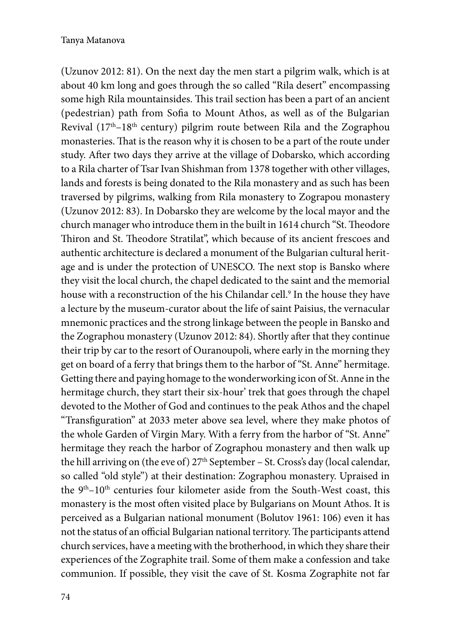(Uzunov 2012: 81). On the next day the men start a pilgrim walk, which is at about 40 km long and goes through the so called "Rila desert" encompassing some high Rila mountainsides. This trail section has been a part of an ancient (pedestrian) path from Sofia to Mount Athos, as well as of the Bulgarian Revival (17<sup>th</sup>-18<sup>th</sup> century) pilgrim route between Rila and the Zographou monasteries. That is the reason why it is chosen to be a part of the route under study. After two days they arrive at the village of Dobarsko, which according to a Rila charter of Tsar Ivan Shishman from 1378 together with other villages, lands and forests is being donated to the Rila monastery and as such has been traversed by pilgrims, walking from Rila monastery to Zograpou monastery (Uzunov 2012: 83). In Dobarsko they are welcome by the local mayor and the church manager who introduce them in the built in 1614 church "St. Theodore Thiron and St. Theodore Stratilat", which because of its ancient frescoes and authentic architecture is declared a monument of the Bulgarian cultural heritage and is under the protection of UNESCO. The next stop is Bansko where they visit the local church, the chapel dedicated to the saint and the memorial house with a reconstruction of the his Chilandar cell.9 In the house they have a lecture by the museum-curator about the life of saint Paisius, the vernacular mnemonic practices and the strong linkage between the people in Bansko and the Zographou monastery (Uzunov 2012: 84). Shortly after that they continue their trip by car to the resort of Ouranoupoli, where early in the morning they get on board of a ferry that brings them to the harbor of "St. Anne" hermitage. Getting there and paying homage to the wonderworking icon of St. Anne in the hermitage church, they start their six-hour' trek that goes through the chapel devoted to the Mother of God and continues to the peak Athos and the chapel "Transfiguration" at 2033 meter above sea level, where they make photos of the whole Garden of Virgin Mary. With a ferry from the harbor of "St. Anne" hermitage they reach the harbor of Zographou monastery and then walk up the hill arriving on (the eve of)  $27<sup>th</sup>$  September – St. Cross's day (local calendar, so called "old style") at their destination: Zographou monastery. Upraised in the  $9<sup>th</sup>-10<sup>th</sup>$  centuries four kilometer aside from the South-West coast, this monastery is the most often visited place by Bulgarians on Mount Athos. It is perceived as a Bulgarian national monument (Bolutov 1961: 106) even it has not the status of an official Bulgarian national territory. The participants attend church services, have a meeting with the brotherhood, in which they share their experiences of the Zographite trail. Some of them make a confession and take communion. If possible, they visit the cave of St. Kosma Zographite not far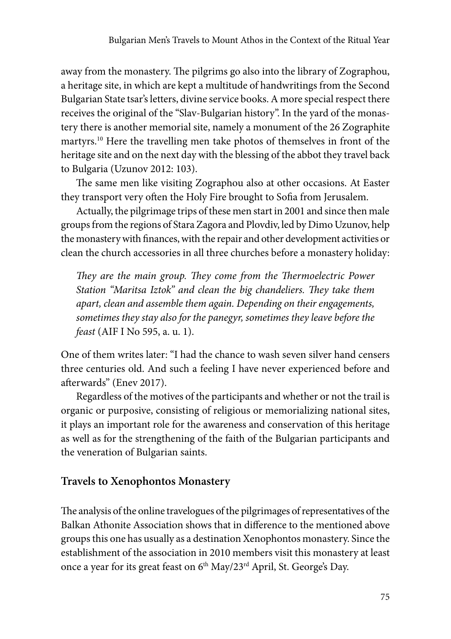away from the monastery. The pilgrims go also into the library of Zographou, a heritage site, in which are kept a multitude of handwritings from the Second Bulgarian State tsar's letters, divine service books. A more special respect there receives the original of the "Slav-Bulgarian history". In the yard of the monastery there is another memorial site, namely a monument of the 26 Zographite martyrs.10 Here the travelling men take photos of themselves in front of the heritage site and on the next day with the blessing of the abbot they travel back to Bulgaria (Uzunov 2012: 103).

The same men like visiting Zographou also at other occasions. At Easter they transport very often the Holy Fire brought to Sofia from Jerusalem.

Actually, the pilgrimage trips of these men start in 2001 and since then male groups from the regions of Stara Zagora and Plovdiv, led by Dimo Uzunov, help the monastery with finances, with the repair and other development activities or clean the church accessories in all three churches before a monastery holiday:

*They are the main group. They come from the Thermoelectric Power Station "Maritsa Iztok" and clean the big chandeliers. They take them apart, clean and assemble them again. Depending on their engagements, sometimes they stay also for the panegyr, sometimes they leave before the feast* (AIF I No 595, a. u. 1).

One of them writes later: "I had the chance to wash seven silver hand censers three centuries old. And such a feeling I have never experienced before and afterwards" (Enev 2017).

Regardless of the motives of the participants and whether or not the trail is organic or purposive, consisting of religious or memorializing national sites, it plays an important role for the awareness and conservation of this heritage as well as for the strengthening of the faith of the Bulgarian participants and the veneration of Bulgarian saints.

#### **Travels to Xenophontos Monastery**

The analysis of the online travelogues of the pilgrimages of representatives of the Balkan Athonite Association shows that in difference to the mentioned above groups this one has usually as a destination Xenophontos monastery. Since the establishment of the association in 2010 members visit this monastery at least once a year for its great feast on  $6<sup>th</sup>$  May/23<sup>rd</sup> April, St. George's Day.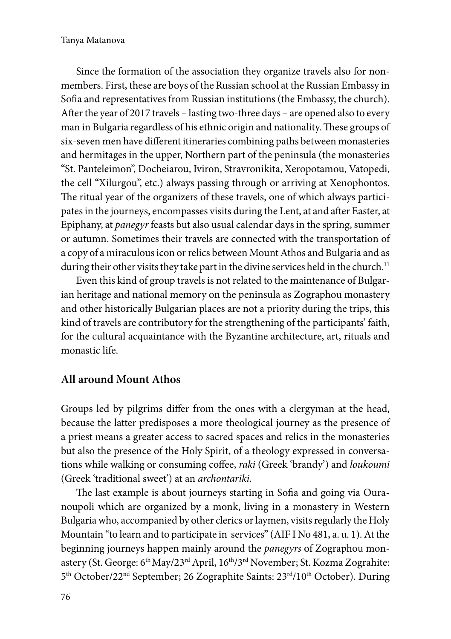Since the formation of the association they organize travels also for nonmembers. First, these are boys of the Russian school at the Russian Embassy in Sofia and representatives from Russian institutions (the Embassy, the church). After the year of 2017 travels – lasting two-three days – are opened also to every man in Bulgaria regardless of his ethnic origin and nationality. These groups of six-seven men have different itineraries combining paths between monasteries and hermitages in the upper, Northern part of the peninsula (the monasteries "St. Panteleimon", Docheiarou, Iviron, Stravronikita, Xeropotamou, Vatopedi, the cell "Xilurgou", etc.) always passing through or arriving at Xenophontos. The ritual year of the organizers of these travels, one of which always participates in the journeys, encompasses visits during the Lent, at and after Easter, at Epiphany, at *panegyr* feasts but also usual calendar days in the spring, summer or autumn. Sometimes their travels are connected with the transportation of a copy of a miraculous icon or relics between Mount Athos and Bulgaria and as during their other visits they take part in the divine services held in the church.<sup>11</sup>

Even this kind of group travels is not related to the maintenance of Bulgarian heritage and national memory on the peninsula as Zographou monastery and other historically Bulgarian places are not a priority during the trips, this kind of travels are contributory for the strengthening of the participants' faith, for the cultural acquaintance with the Byzantine architecture, art, rituals and monastic life.

#### **All around Mount Athos**

Groups led by pilgrims differ from the ones with a clergyman at the head, because the latter predisposes a more theological journey as the presence of a priest means a greater access to sacred spaces and relics in the monasteries but also the presence of the Holy Spirit, of a theology expressed in conversations while walking or consuming coffee, *raki* (Greek 'brandy') and *loukoumi* (Greek 'traditional sweet') at an *archontariki*.

The last example is about journeys starting in Sofia and going via Ouranoupoli which are organized by a monk, living in a monastery in Western Bulgaria who, accompanied by other clerics or laymen, visits regularly the Holy Mountain "to learn and to participate in services" (AIF I No 481, a. u. 1). At the beginning journeys happen mainly around the *panegyrs* of Zographou monastery (St. George: 6<sup>th</sup> May/23<sup>rd</sup> April, 16<sup>th</sup>/3<sup>rd</sup> November; St. Kozma Zograhite: 5<sup>th</sup> October/22<sup>nd</sup> September; 26 Zographite Saints: 23<sup>rd</sup>/10<sup>th</sup> October). During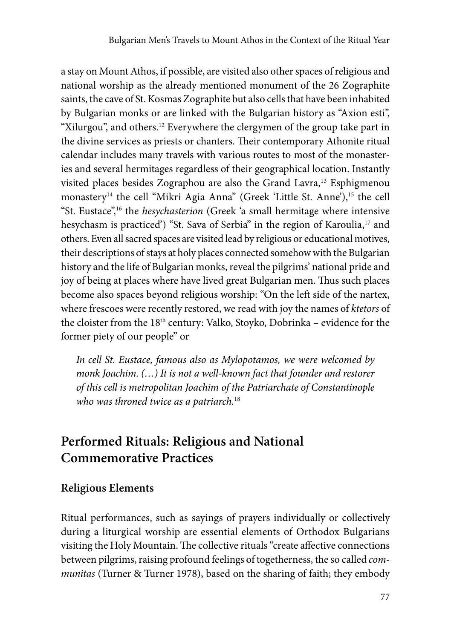a stay on Mount Athos, if possible, are visited also other spaces of religious and national worship as the already mentioned monument of the 26 Zographite saints, the cave of St. Kosmas Zographite but also cells that have been inhabited by Bulgarian monks or are linked with the Bulgarian history as "Axion esti", "Xilurgou", and others.12 Everywhere the clergymen of the group take part in the divine services as priests or chanters. Their contemporary Athonite ritual calendar includes many travels with various routes to most of the monasteries and several hermitages regardless of their geographical location. Instantly visited places besides Zographou are also the Grand Lavra,<sup>13</sup> Esphigmenou monastery<sup>14</sup> the cell "Mikri Agia Anna" (Greek 'Little St. Anne'),<sup>15</sup> the cell "St. Eustace",16 the *hesychasterion* (Greek 'a small hermitage where intensive hesychasm is practiced') "St. Sava of Serbia" in the region of Karoulia,<sup>17</sup> and others. Even all sacred spaces are visited lead by religious or educational motives, their descriptions of stays at holy places connected somehow with the Bulgarian history and the life of Bulgarian monks, reveal the pilgrims' national pride and joy of being at places where have lived great Bulgarian men. Thus such places become also spaces beyond religious worship: "On the left side of the nartex, where frescoes were recently restored, we read with joy the names of *ktetors* of the cloister from the 18th century: Valko, Stoyko, Dobrinka – evidence for the former piety of our people" or

*In cell St. Eustace, famous also as Mylopotamos, we were welcomed by monk Joachim. (…) It is not a well-known fact that founder and restorer of this cell is metropolitan Joachim of the Patriarchate of Constantinople who was throned twice as a patriarch.*<sup>18</sup>

# **Performed Rituals: Religious and National Commemorative Practices**

#### **Religious Elements**

Ritual performances, such as sayings of prayers individually or collectively during a liturgical worship are essential elements of Orthodox Bulgarians visiting the Holy Mountain. The collective rituals "create affective connections between pilgrims, raising profound feelings of togetherness, the so called *communitas* (Turner & Turner 1978), based on the sharing of faith; they embody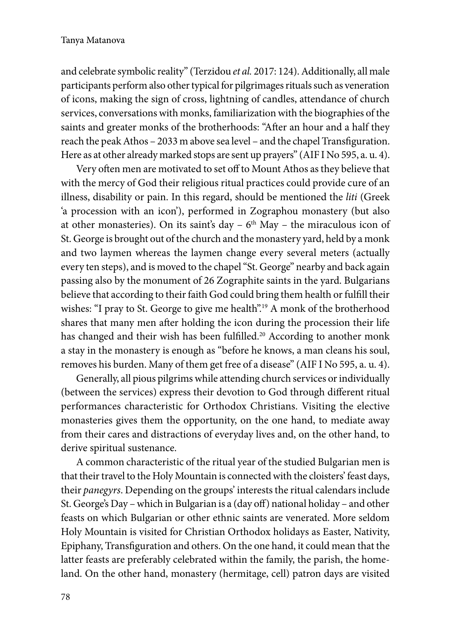and celebrate symbolic reality" (Terzidou *et al.* 2017: 124). Additionally, all male participants perform also other typical for pilgrimages rituals such as veneration of icons, making the sign of cross, lightning of candles, attendance of church services, conversations with monks, familiarization with the biographies of the saints and greater monks of the brotherhoods: "After an hour and a half they reach the peak Athos – 2033 m above sea level – and the chapel Transfiguration. Here as at other already marked stops are sent up prayers" (AIF I No 595, a. u. 4).

Very often men are motivated to set off to Mount Athos as they believe that with the mercy of God their religious ritual practices could provide cure of an illness, disability or pain. In this regard, should be mentioned the *liti* (Greek 'a procession with an icon'), performed in Zographou monastery (but also at other monasteries). On its saint's day  $-6<sup>th</sup>$  May  $-$  the miraculous icon of St. George is brought out of the church and the monastery yard, held by a monk and two laymen whereas the laymen change every several meters (actually every ten steps), and is moved to the chapel "St. George" nearby and back again passing also by the monument of 26 Zographite saints in the yard. Bulgarians believe that according to their faith God could bring them health or fulfill their wishes: "I pray to St. George to give me health".<sup>19</sup> A monk of the brotherhood shares that many men after holding the icon during the procession their life has changed and their wish has been fulfilled.<sup>20</sup> According to another monk a stay in the monastery is enough as "before he knows, a man cleans his soul, removes his burden. Many of them get free of a disease" (AIF I No 595, a. u. 4).

Generally, all pious pilgrims while attending church services or individually (between the services) express their devotion to God through different ritual performances characteristic for Orthodox Christians. Visiting the elective monasteries gives them the opportunity, on the one hand, to mediate away from their cares and distractions of everyday lives and, on the other hand, to derive spiritual sustenance.

A common characteristic of the ritual year of the studied Bulgarian men is that their travel to the Holy Mountain is connected with the cloisters' feast days, their *panegyrs*. Depending on the groups' interests the ritual calendars include St. George's Day – which in Bulgarian is a (day off) national holiday – and other feasts on which Bulgarian or other ethnic saints are venerated. More seldom Holy Mountain is visited for Christian Orthodox holidays as Easter, Nativity, Epiphany, Transfiguration and others. On the one hand, it could mean that the latter feasts are preferably celebrated within the family, the parish, the homeland. On the other hand, monastery (hermitage, cell) patron days are visited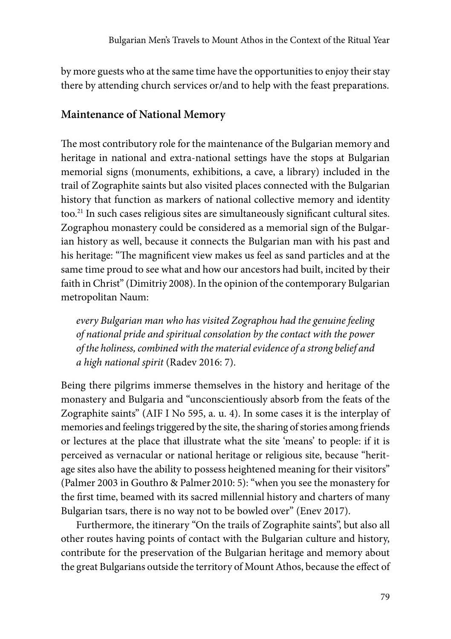by more guests who at the same time have the opportunities to enjoy their stay there by attending church services or/and to help with the feast preparations.

#### **Maintenance of National Memory**

The most contributory role for the maintenance of the Bulgarian memory and heritage in national and extra-national settings have the stops at Bulgarian memorial signs (monuments, exhibitions, a cave, a library) included in the trail of Zographite saints but also visited places connected with the Bulgarian history that function as markers of national collective memory and identity too.21 In such cases religious sites are simultaneously significant cultural sites. Zographou monastery could be considered as a memorial sign of the Bulgarian history as well, because it connects the Bulgarian man with his past and his heritage: "The magnificent view makes us feel as sand particles and at the same time proud to see what and how our ancestors had built, incited by their faith in Christ" (Dimitriy 2008). In the opinion of the contemporary Bulgarian metropolitan Naum:

*every Bulgarian man who has visited Zographou had the genuine feeling of national pride and spiritual consolation by the contact with the power of the holiness, combined with the material evidence of a strong belief and a high national spirit* (Radev 2016: 7).

Being there pilgrims immerse themselves in the history and heritage of the monastery and Bulgaria and "unconscientiously absorb from the feats of the Zographite saints" (AIF I No 595, a. u. 4). In some cases it is the interplay of memories and feelings triggered by the site, the sharing of stories among friends or lectures at the place that illustrate what the site 'means' to people: if it is perceived as vernacular or national heritage or religious site, because "heritage sites also have the ability to possess heightened meaning for their visitors" (Palmer 2003 in Gouthro & Palmer 2010: 5): "when you see the monastery for the first time, beamed with its sacred millennial history and charters of many Bulgarian tsars, there is no way not to be bowled over" (Enev 2017).

Furthermore, the itinerary "On the trails of Zographite saints", but also all other routes having points of contact with the Bulgarian culture and history, contribute for the preservation of the Bulgarian heritage and memory about the great Bulgarians outside the territory of Mount Athos, because the effect of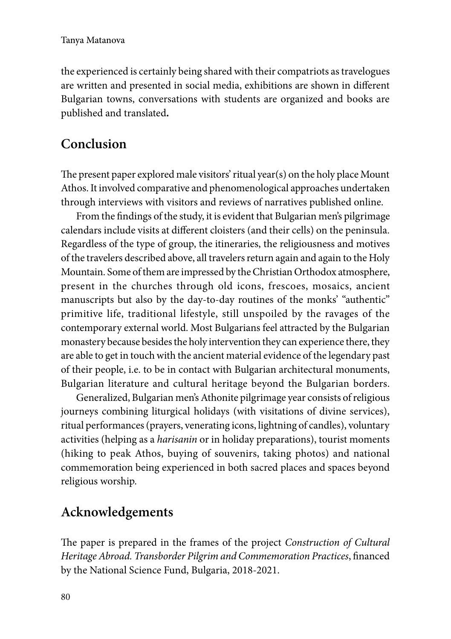the experienced is certainly being shared with their compatriots as travelogues are written and presented in social media, exhibitions are shown in different Bulgarian towns, conversations with students are organized and books are published and translated**.**

# **Conclusion**

The present paper explored male visitors' ritual year(s) on the holy place Mount Athos. It involved comparative and phenomenological approaches undertaken through interviews with visitors and reviews of narratives published online.

From the findings of the study, it is evident that Bulgarian men's pilgrimage calendars include visits at different cloisters (and their cells) on the peninsula. Regardless of the type of group, the itineraries, the religiousness and motives of the travelers described above, all travelers return again and again to the Holy Mountain. Some of them are impressed by the Christian Orthodox atmosphere, present in the churches through old icons, frescoes, mosaics, ancient manuscripts but also by the day-to-day routines of the monks' "authentic" primitive life, traditional lifestyle, still unspoiled by the ravages of the contemporary external world. Most Bulgarians feel attracted by the Bulgarian monastery because besides the holy intervention they can experience there, they are able to get in touch with the ancient material evidence of the legendary past of their people, i.e. to be in contact with Bulgarian architectural monuments, Bulgarian literature and cultural heritage beyond the Bulgarian borders.

Generalized, Bulgarian men's Athonite pilgrimage year consists of religious journeys combining liturgical holidays (with visitations of divine services), ritual performances (prayers, venerating icons, lightning of candles), voluntary activities (helping as a *harisanin* or in holiday preparations), tourist moments (hiking to peak Athos, buying of souvenirs, taking photos) and national commemoration being experienced in both sacred places and spaces beyond religious worship.

# **Acknowledgements**

The paper is prepared in the frames of the project *Construction of Cultural Heritage Abroad. Transborder Pilgrim and Commemoration Practices*, financed by the National Science Fund, Bulgaria, 2018-2021.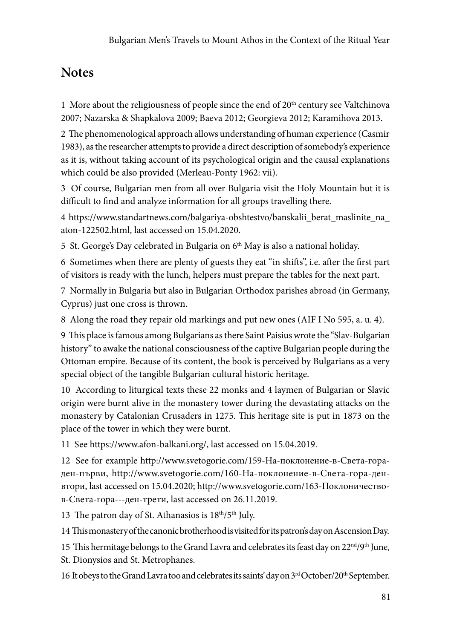# **Notes**

1 More about the religiousness of people since the end of  $20<sup>th</sup>$  century see Valtchinova 2007; Nazarska & Shapkalova 2009; Baeva 2012; Georgieva 2012; Karamihova 2013.

2 The phenomenological approach allows understanding of human experience (Casmir 1983), as the researcher attempts to provide a direct description of somebody's experience as it is, without taking account of its psychological origin and the causal explanations which could be also provided (Merleau-Ponty 1962: vii).

3 Of course, Bulgarian men from all over Bulgaria visit the Holy Mountain but it is difficult to find and analyze information for all groups travelling there.

4 https://www.standartnews.com/balgariya-obshtestvo/banskalii\_berat\_maslinite\_na\_ aton-122502.html, last accessed on 15.04.2020.

5 St. George's Day celebrated in Bulgaria on  $6<sup>th</sup>$  May is also a national holiday.

6 Sometimes when there are plenty of guests they eat "in shifts", i.e. after the first part of visitors is ready with the lunch, helpers must prepare the tables for the next part.

7 Normally in Bulgaria but also in Bulgarian Orthodox parishes abroad (in Germany, Cyprus) just one cross is thrown.

8 Along the road they repair old markings and put new ones (AIF I No 595, a. u. 4).

9 This place is famous among Bulgarians as there Saint Paisius wrote the "Slav-Bulgarian history" to awake the national consciousness of the captive Bulgarian people during the Ottoman empire. Because of its content, the book is perceived by Bulgarians as a very special object of the tangible Bulgarian cultural historic heritage.

10 According to liturgical texts these 22 monks and 4 laymen of Bulgarian or Slavic origin were burnt alive in the monastery tower during the devastating attacks on the monastery by Catalonian Crusaders in 1275. This heritage site is put in 1873 on the place of the tower in which they were burnt.

11 See https://www.afon-balkani.org/, last accessed on 15.04.2019.

12 See for example http://www.svetogorie.com/159-На-поклонение-в-Света-гораден-първи, http://www.svetogorie.com/160-На-поклонение-в-Света-гора-денвтори, last accessed on 15.04.2020; http://www.svetogorie.com/163-Поклоничествов-Света-гора---ден-трети, last accessed on 26.11.2019.

13 The patron day of St. Athanasios is  $18^{th}/5^{th}$  July.

14 This monastery of the canonic brotherhood is visited for its patron's day on Ascension Day.

15 This hermitage belongs to the Grand Lavra and celebrates its feast day on  $22<sup>nd</sup>/9<sup>th</sup>$  June, St. Dionysios and St. Metrophanes.

16 It obeys to the Grand Layra too and celebrates its saints' day on 3<sup>rd</sup> October/20<sup>th</sup> September.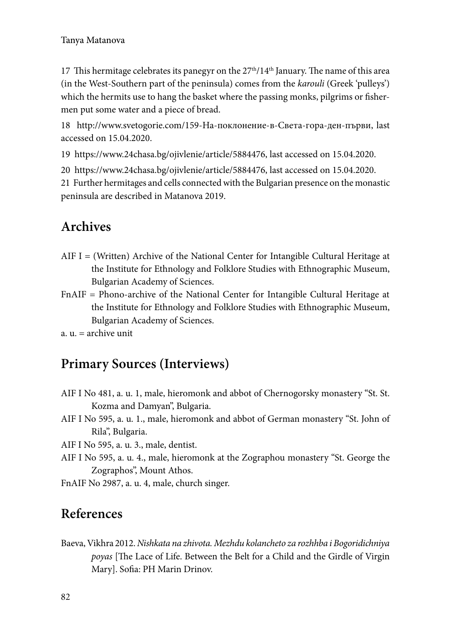17 This hermitage celebrates its panegyr on the  $27<sup>th</sup>/14<sup>th</sup>$  January. The name of this area (in the West-Southern part of the peninsula) comes from the *karouli* (Greek 'pulleys') which the hermits use to hang the basket where the passing monks, pilgrims or fishermen put some water and a piece of bread.

18 http://www.svetogorie.com/159-На-поклонение-в-Света-гора-ден-първи, last accessed on 15.04.2020.

19 https://www.24chasa.bg/ojivlenie/article/5884476, last accessed on 15.04.2020.

20 https://www.24chasa.bg/ojivlenie/article/5884476, last accessed on 15.04.2020.

21 Further hermitages and cells connected with the Bulgarian presence on the monastic peninsula are described in Matanova 2019.

## **Archives**

- $AIF I = (Written)$  Archive of the National Center for Intangible Cultural Heritage at the Institute for Ethnology and Folklore Studies with Ethnographic Museum, Bulgarian Academy of Sciences.
- FnAIF = Phono-archive of the National Center for Intangible Cultural Heritage at the Institute for Ethnology and Folklore Studies with Ethnographic Museum, Bulgarian Academy of Sciences.
- $a$ .  $u =$  archive unit

### **Primary Sources (Interviews)**

- AIF I No 481, a. u. 1, male, hieromonk and abbot of Chernogorsky monastery "St. St. Kozma and Damyan", Bulgaria.
- AIF I No 595, a. u. 1., male, hieromonk and abbot of German monastery "St. John of Rila", Bulgaria.

AIF I No 595, a. u. 3., male, dentist.

AIF I No 595, a. u. 4., male, hieromonk at the Zographou monastery "St. George the Zographos", Mount Athos.

FnAIF No 2987, a. u. 4, male, church singer.

### **References**

Baeva, Vikhra 2012. *Nishkata na zhivota. Mezhdu kolancheto za rozhhba i Bogoridichniya poyas* [The Lace of Life. Between the Belt for a Child and the Girdle of Virgin Mary]. Sofia: PH Marin Drinov.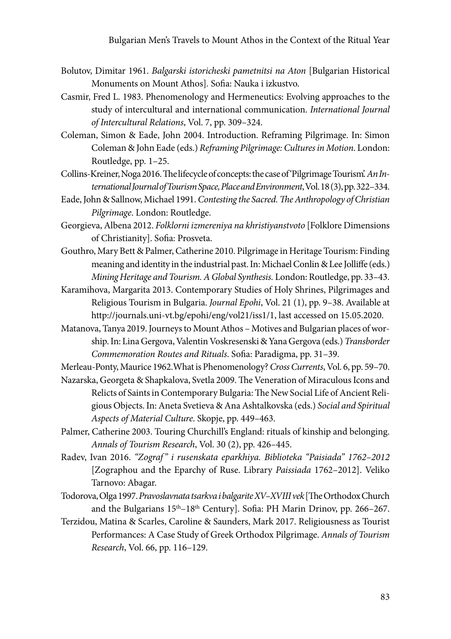- Bolutov, Dimitar 1961. *Balgarski istoricheski pametnitsi na Aton* [Bulgarian Historical Monuments on Mount Athos]*.* Sofia: Nauka i izkustvo.
- Casmir, Fred L. 1983. Phenomenology and Hermeneutics: Evolving approaches to the study of intercultural and international communication. *International Journal of Intercultural Relations*, Vol. 7, pp. 309–324.
- Coleman, Simon & Eade, John 2004. Introduction. Reframing Pilgrimage. In: Simon Coleman & John Eade (eds.) *Reframing Pilgrimage: Cultures in Motion*. London: Routledge, pp. 1–25.
- Collins-Kreiner, Noga 2016. The lifecycle of concepts: the case of 'Pilgrimage Tourism'. *An International Journal of Tourism Space, Place and Environment*, Vol. 18(3), pp. 322–334.
- Eade, John & Sallnow, Michael 1991. *Contesting the Sacred. The Anthropology of Christian Pilgrimage*. London: Routledge.
- Georgieva, Albena 2012. *Folklorni izmereniya na khristiyanstvoto* [Folklore Dimensions of Christianity]. Sofia: Prosveta.
- Gouthro, Mary Bett & Palmer, Catherine 2010. Pilgrimage in Heritage Tourism: Finding meaning and identity in the industrial past. In: Michael Conlin & Lee Jolliffe (eds.) *Mining Heritage and Tourism. A Global Synthesis.* London: Routledge, pp. 33–43.
- Karamihova, Margarita 2013. Contemporary Studies of Holy Shrines, Pilgrimages and Religious Tourism in Bulgaria. *Journal Epohi*, Vol. 21 (1), pp. 9–38. Available at http://journals.uni-vt.bg/epohi/eng/vol21/iss1/1, last accessed on 15.05.2020.
- Matanova, Tanya 2019. Journeys to Mount Athos Motives and Bulgarian places of worship. In: Lina Gergova, Valentin Voskresenski & Yana Gergova (eds.) *Transborder Commemoration Routes and Rituals*. Sofia: Paradigma, pp. 31–39.
- Merleau-Ponty, Maurice 1962.What is Phenomenology? *Cross Currents*, Vol. 6, pp. 59–70. Nazarska, Georgeta & Shapkalova, Svetla 2009. The Veneration of Miraculous Icons and
	- Relicts of Saints in Contemporary Bulgaria: The New Social Life of Ancient Religious Objects. In: Aneta Svetieva & Ana Ashtalkovska (eds.) *Social and Spiritual Aspects of Material Culture*. Skopje, pp. 449–463.
- Palmer, Catherine 2003. Touring Churchill's England: rituals of kinship and belonging. *Annals of Tourism Research*, Vol. 30 (2), pp. 426–445.
- Radev, Ivan 2016. *"Zograf " i rusenskata eparkhiya. Biblioteka "Paisiada" 1762–2012* [Zographou and the Eparchy of Ruse. Library *Paissiada* 1762–2012]. Veliko Tarnovo: Abagar.
- Todorova, Olga 1997. *Pravoslavnata tsarkva i balgarite XV–XVIII vek* [The Orthodox Church and the Bulgarians  $15<sup>th</sup> - 18<sup>th</sup>$  Century]. Sofia: PH Marin Drinov, pp. 266–267.
- Terzidou, Matina & Scarles, Caroline & Saunders, Mark 2017. Religiousness as Tourist Performances: A Case Study of Greek Orthodox Pilgrimage. *Annals of Tourism Research*, Vol. 66, pp. 116–129.